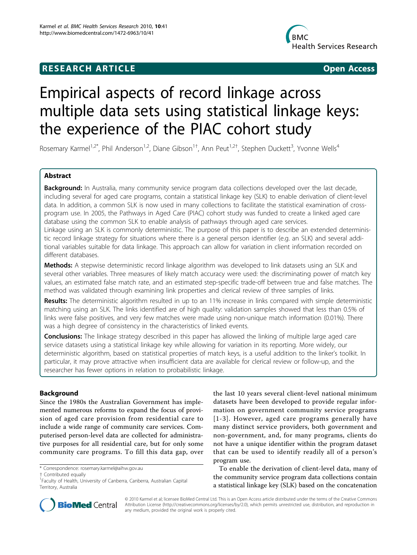# **RESEARCH ARTICLE Example 2018 12:00 Department of the CONNECTION CONNECTION CONNECTION**



# Empirical aspects of record linkage across multiple data sets using statistical linkage keys: the experience of the PIAC cohort study

Rosemary Karmel<sup>1,2\*</sup>, Phil Anderson<sup>1,2</sup>, Diane Gibson<sup>1†</sup>, Ann Peut<sup>1,2†</sup>, Stephen Duckett<sup>3</sup>, Yvonne Wells<sup>4</sup>

# Abstract

Background: In Australia, many community service program data collections developed over the last decade, including several for aged care programs, contain a statistical linkage key (SLK) to enable derivation of client-level data. In addition, a common SLK is now used in many collections to facilitate the statistical examination of crossprogram use. In 2005, the Pathways in Aged Care (PIAC) cohort study was funded to create a linked aged care database using the common SLK to enable analysis of pathways through aged care services.

Linkage using an SLK is commonly deterministic. The purpose of this paper is to describe an extended deterministic record linkage strategy for situations where there is a general person identifier (e.g. an SLK) and several additional variables suitable for data linkage. This approach can allow for variation in client information recorded on different databases.

Methods: A stepwise deterministic record linkage algorithm was developed to link datasets using an SLK and several other variables. Three measures of likely match accuracy were used: the discriminating power of match key values, an estimated false match rate, and an estimated step-specific trade-off between true and false matches. The method was validated through examining link properties and clerical review of three samples of links.

Results: The deterministic algorithm resulted in up to an 11% increase in links compared with simple deterministic matching using an SLK. The links identified are of high quality: validation samples showed that less than 0.5% of links were false positives, and very few matches were made using non-unique match information (0.01%). There was a high degree of consistency in the characteristics of linked events.

**Conclusions:** The linkage strategy described in this paper has allowed the linking of multiple large aged care service datasets using a statistical linkage key while allowing for variation in its reporting. More widely, our deterministic algorithm, based on statistical properties of match keys, is a useful addition to the linker's toolkit. In particular, it may prove attractive when insufficient data are available for clerical review or follow-up, and the researcher has fewer options in relation to probabilistic linkage.

# Background

Since the 1980s the Australian Government has implemented numerous reforms to expand the focus of provision of aged care provision from residential care to include a wide range of community care services. Computerised person-level data are collected for administrative purposes for all residential care, but for only some community care programs. To fill this data gap, over

† Contributed equally <sup>1</sup>

the last 10 years several client-level national minimum datasets have been developed to provide regular information on government community service programs [[1-3](#page-12-0)]. However, aged care programs generally have many distinct service providers, both government and non-government, and, for many programs, clients do not have a unique identifier within the program dataset that can be used to identify readily all of a person's program use.

To enable the derivation of client-level data, many of the community service program data collections contain a statistical linkage key (SLK) based on the concatenation



© 2010 Karmel et al; licensee BioMed Central Ltd. This is an Open Access article distributed under the terms of the Creative Commons Attribution License [\(http://creativecommons.org/licenses/by/2.0](http://creativecommons.org/licenses/by/2.0)), which permits unrestricted use, distribution, and reproduction in any medium, provided the original work is properly cited.

<sup>\*</sup> Correspondence: [rosemary.karmel@aihw.gov.au](mailto:rosemary.karmel@aihw.gov.au)

<sup>&</sup>lt;sup>1</sup> Faculty of Health, University of Canberra, Canberra, Australian Capital Territory, Australia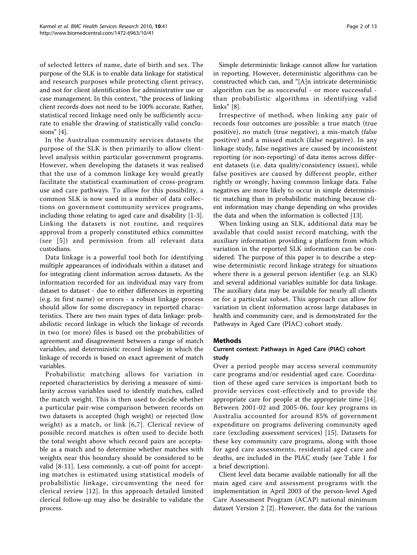of selected letters of name, date of birth and sex. The purpose of the SLK is to enable data linkage for statistical and research purposes while protecting client privacy, and not for client identification for administrative use or case management. In this context, "the process of linking client records does not need to be 100% accurate. Rather, statistical record linkage need only be sufficiently accurate to enable the drawing of statistically valid conclusions" [[4\]](#page-12-0).

In the Australian community services datasets the purpose of the SLK is then primarily to allow clientlevel analysis within particular government programs. However, when developing the datasets it was realised that the use of a common linkage key would greatly facilitate the statistical examination of cross-program use and care pathways. To allow for this possibility, a common SLK is now used in a number of data collections on government community services programs, including those relating to aged care and disability [[1-3](#page-12-0)]. Linking the datasets is not routine, and requires approval from a properly constituted ethics committee (see [[5](#page-12-0)]) and permission from all relevant data custodians.

Data linkage is a powerful tool both for identifying multiple appearances of individuals within a dataset and for integrating client information across datasets. As the information recorded for an individual may vary from dataset to dataset - due to either differences in reporting (e.g. in first name) or errors - a robust linkage process should allow for some discrepancy in reported characteristics. There are two main types of data linkage: probabilistic record linkage in which the linkage of records in two (or more) files is based on the probabilities of agreement and disagreement between a range of match variables, and deterministic record linkage in which the linkage of records is based on exact agreement of match variables.

Probabilistic matching allows for variation in reported characteristics by deriving a measure of similarity across variables used to identify matches, called the match weight. This is then used to decide whether a particular pair-wise comparison between records on two datasets is accepted (high weight) or rejected (low weight) as a match, or link [[6,7\]](#page-12-0). Clerical review of possible record matches is often used to decide both the total weight above which record pairs are acceptable as a match and to determine whether matches with weights near this boundary should be considered to be valid [[8-11\]](#page-12-0). Less commonly, a cut-off point for accepting matches is estimated using statistical models of probabilistic linkage, circumventing the need for clerical review [[12\]](#page-12-0). In this approach detailed limited clerical follow-up may also be desirable to validate the process.

Simple deterministic linkage cannot allow for variation in reporting. However, deterministic algorithms can be constructed which can, and "[A]n intricate deterministic algorithm can be as successful - or more successful than probabilistic algorithms in identifying valid links" [[8\]](#page-12-0).

Irrespective of method, when linking any pair of records four outcomes are possible: a true match (true positive), no match (true negative), a mis-match (false positive) and a missed match (false negative). In any linkage study, false negatives are caused by inconsistent reporting (or non-reporting) of data items across different datasets (i.e. data quality/consistency issues), while false positives are caused by different people, either rightly or wrongly, having common linkage data. False negatives are more likely to occur in simple deterministic matching than in probabilistic matching because client information may change depending on who provides the data and when the information is collected [[13\]](#page-12-0).

When linking using an SLK, additional data may be available that could assist record matching, with the auxiliary information providing a platform from which variation in the reported SLK information can be considered. The purpose of this paper is to describe a stepwise deterministic record linkage strategy for situations where there is a general person identifier (e.g. an SLK) and several additional variables suitable for data linkage. The auxiliary data may be available for nearly all clients or for a particular subset. This approach can allow for variation in client information across large databases in health and community care, and is demonstrated for the Pathways in Aged Care (PIAC) cohort study.

# Methods

# Current context: Pathways in Aged Care (PIAC) cohort study

Over a period people may access several community care programs and/or residential aged care. Coordination of these aged care services is important both to provide services cost-effectively and to provide the appropriate care for people at the appropriate time [\[14](#page-12-0)]. Between 2001-02 and 2005-06, four key programs in Australia accounted for around 85% of government expenditure on programs delivering community aged care (excluding assessment services) [[15\]](#page-12-0). Datasets for these key community care programs, along with those for aged care assessments, residential aged care and deaths, are included in the PIAC study (see Table [1](#page-2-0) for a brief description).

Client level data became available nationally for all the main aged care and assessment programs with the implementation in April 2003 of the person-level Aged Care Assessment Program (ACAP) national minimum dataset Version 2 [[2\]](#page-12-0). However, the data for the various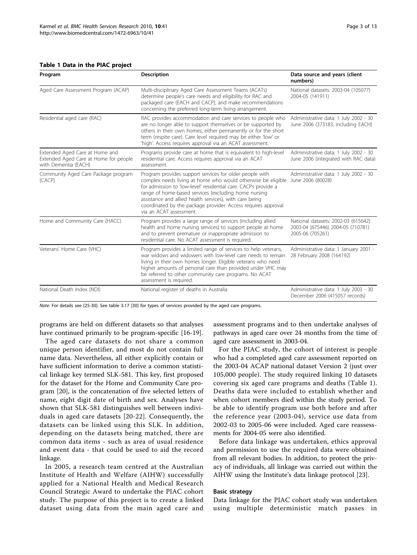<span id="page-2-0"></span>Table 1 Data in the PIAC project

| Program                                                                                         | <b>Description</b>                                                                                                                                                                                                                                                                                                                                                                                       | Data source and years (client<br>numbers)                                                    |
|-------------------------------------------------------------------------------------------------|----------------------------------------------------------------------------------------------------------------------------------------------------------------------------------------------------------------------------------------------------------------------------------------------------------------------------------------------------------------------------------------------------------|----------------------------------------------------------------------------------------------|
| Aged Care Assessment Program (ACAP)                                                             | Multi-disciplinary Aged Care Assessment Teams (ACATs)<br>determine people's care needs and eligibility for RAC and<br>packaged care (EACH and CACP), and make recommendations<br>concerning the preferred long-term living arrangement.                                                                                                                                                                  | National datasets: 2003-04 (105077)<br>2004-05 (141911)                                      |
| Residential aged care (RAC)                                                                     | RAC provides accommodation and care services to people who<br>are no longer able to support themselves or be supported by<br>others in their own homes, either permanently or for the short<br>term (respite care). Care level required may be either 'low' or<br>'high'. Access requires approval via an ACAT assessment.                                                                               | Administrative data: 1 July 2002 - 30<br>June 2006 (373183, including EACH)                  |
| Extended Aged Care at Home and<br>Extended Aged Care at Home for people<br>with Dementia (EACH) | Programs provide care at home that is equivalent to high-level<br>residential care. Access requires approval via an ACAT<br>assessment.                                                                                                                                                                                                                                                                  | Administrative data: 1 July 2002 - 30<br>June 2006 (integrated with RAC data)                |
| Community Aged Care Package program<br>(CACP)                                                   | Program provides support services for older people with<br>complex needs living at home who would otherwise be eligible<br>for admission to 'low-level' residential care. CACPs provide a<br>range of home-based services (excluding home nursing<br>assistance and allied health services), with care being<br>coordinated by the package provider. Access requires approval<br>via an ACAT assessment. | Administrative data: 1 July 2002 - 30<br>June 2006 (80028)                                   |
| Home and Community Care (HACC)                                                                  | Program provides a large range of services (including allied<br>health and home nursing services) to support people at home<br>and to prevent premature or inappropriate admission to<br>residential care. No ACAT assessment is required.                                                                                                                                                               | National datasets: 2002-03 (615642)<br>2003-04 (675446) 2004-05 (710781)<br>2005-06 (705261) |
| Veterans' Home Care (VHC)                                                                       | Program provides a limited range of services to help veterans,<br>war widows and widowers with low-level care needs to remain<br>living in their own homes longer. Eligible veterans who need<br>higher amounts of personal care than provided under VHC may<br>be referred to other community care programs. No ACAT<br>assessment is required.                                                         | Administrative data: 1 January 2001 -<br>28 February 2008 (164192)                           |
| National Death Index (NDI)                                                                      | National register of deaths in Australia                                                                                                                                                                                                                                                                                                                                                                 | Administrative data: 1 July 2003 - 30<br>December 2006 (415057 records)                      |

Note: For details see [[25-30](#page-12-0)]. See table 3.17 [\[30](#page-12-0)] for types of services provided by the aged care programs.

programs are held on different datasets so that analyses have continued primarily to be program-specific [[16-19\]](#page-12-0).

The aged care datasets do not share a common unique person identifier, and most do not contain full name data. Nevertheless, all either explicitly contain or have sufficient information to derive a common statistical linkage key termed SLK-581. This key, first proposed for the dataset for the Home and Community Care program [\[20\]](#page-12-0), is the concatenation of five selected letters of name, eight digit date of birth and sex. Analyses have shown that SLK-581 distinguishes well between individuals in aged care datasets [[20-22\]](#page-12-0). Consequently, the datasets can be linked using this SLK. In addition, depending on the datasets being matched, there are common data items - such as area of usual residence and event data - that could be used to aid the record linkage.

In 2005, a research team centred at the Australian Institute of Health and Welfare (AIHW) successfully applied for a National Health and Medical Research Council Strategic Award to undertake the PIAC cohort study. The purpose of this project is to create a linked dataset using data from the main aged care and

assessment programs and to then undertake analyses of pathways in aged care over 24 months from the time of aged care assessment in 2003-04.

For the PIAC study, the cohort of interest is people who had a completed aged care assessment reported on the 2003-04 ACAP national dataset Version 2 (just over 105,000 people). The study required linking 10 datasets covering six aged care programs and deaths (Table 1). Deaths data were included to establish whether and when cohort members died within the study period. To be able to identify program use both before and after the reference year (2003-04), service use data from 2002-03 to 2005-06 were included. Aged care reassessments for 2004-05 were also identified.

Before data linkage was undertaken, ethics approval and permission to use the required data were obtained from all relevant bodies. In addition, to protect the privacy of individuals, all linkage was carried out within the AIHW using the Institute's data linkage protocol [\[23](#page-12-0)].

#### Basic strategy

Data linkage for the PIAC cohort study was undertaken using multiple deterministic match passes in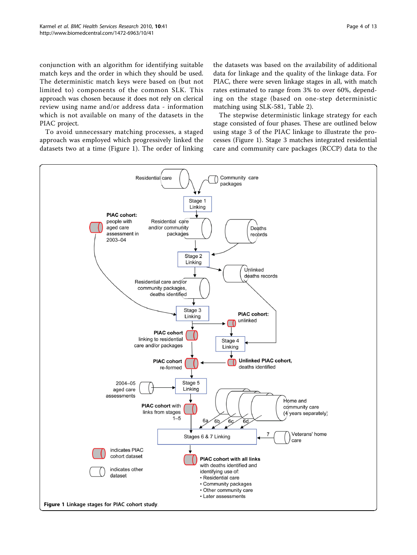conjunction with an algorithm for identifying suitable match keys and the order in which they should be used. The deterministic match keys were based on (but not limited to) components of the common SLK. This approach was chosen because it does not rely on clerical review using name and/or address data - information which is not available on many of the datasets in the PIAC project.

To avoid unnecessary matching processes, a staged approach was employed which progressively linked the datasets two at a time (Figure 1). The order of linking

the datasets was based on the availability of additional data for linkage and the quality of the linkage data. For PIAC, there were seven linkage stages in all, with match rates estimated to range from 3% to over 60%, depending on the stage (based on one-step deterministic matching using SLK-581, Table [2](#page-4-0)).

The stepwise deterministic linkage strategy for each stage consisted of four phases. These are outlined below using stage 3 of the PIAC linkage to illustrate the processes (Figure 1). Stage 3 matches integrated residential care and community care packages (RCCP) data to the

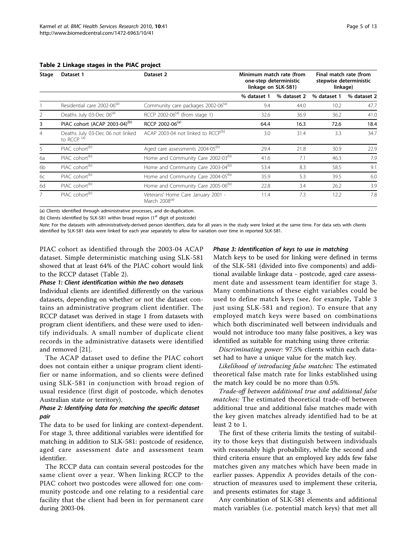| Stage          | Dataset 1                                                  | Dataset 2                                                       | Minimum match rate (from<br>one-step deterministic<br>linkage on SLK-581) |             | Final match rate (from<br>stepwise deterministic<br>linkage) |             |  |
|----------------|------------------------------------------------------------|-----------------------------------------------------------------|---------------------------------------------------------------------------|-------------|--------------------------------------------------------------|-------------|--|
|                |                                                            |                                                                 | % dataset 1                                                               | % dataset 2 | % dataset 1                                                  | % dataset 2 |  |
|                | Residential care 2002-06 <sup>(a)</sup>                    | Community care packages 2002-06 <sup>(a)</sup>                  | 9.4                                                                       | 44.0        | 10.2                                                         | 47.7        |  |
| $\overline{2}$ | Deaths July 03-Dec 06(a)                                   | RCCP 2002-06 <sup>(a)</sup> (from stage 1)                      | 32.6                                                                      | 36.9        | 36.2                                                         | 41.0        |  |
| 3              | PIAC cohort (ACAP 2003-04) <sup>(b)</sup>                  | RCCP 2002-06(a)                                                 | 64.4                                                                      | 16.3        | 72.6                                                         | 18.4        |  |
| 4              | Deaths July 03-Dec 06 not linked<br>to RCCP <sup>(a)</sup> | ACAP 2003-04 not linked to RCCP <sup>(b)</sup>                  | 3.0                                                                       | 31.4        | 3.3                                                          | 34.7        |  |
| 5              | PIAC cohort <sup>(b)</sup>                                 | Aged care assessments 2004-05 <sup>(b)</sup>                    | 29.4                                                                      | 21.8        | 30.9                                                         | 22.9        |  |
| 6a             | PIAC cohort <sup>(b)</sup>                                 | Home and Community Care 2002-03 <sup>(b)</sup>                  | 41.6                                                                      | 7.1         | 46.3                                                         | 7.9         |  |
| 6b             | PIAC cohort <sup>(b)</sup>                                 | Home and Community Care 2003-04 <sup>(b)</sup>                  | 53.4                                                                      | 8.3         | 58.5                                                         | 9.1         |  |
| 6c             | PIAC cohort <sup>(b)</sup>                                 | Home and Community Care 2004-05 <sup>(b)</sup>                  | 35.9                                                                      | 5.3         | 39.5                                                         | 6.0         |  |
| 6d             | PIAC cohort <sup>(b)</sup>                                 | Home and Community Care 2005-06 <sup>(b)</sup>                  | 22.8                                                                      | 3.4         | 26.2                                                         | 3.9         |  |
| 7              | PIAC cohort <sup>(b)</sup>                                 | Veterans' Home Care January 2001 -<br>March 2008 <sup>(a)</sup> | 11.4                                                                      | 7.3         | 12.2                                                         | 7.8         |  |

#### <span id="page-4-0"></span>Table 2 Linkage stages in the PIAC project

(a) Clients identified through administrative processes, and de-duplication.

(b) Clients identified by SLK-581 within broad region  $(1<sup>st</sup>$  digit of postcode

Note: For the datasets with administratively-derived person identifiers, data for all years in the study were linked at the same time. For data sets with clients identified by SLK-581 data were linked for each year separately to allow for variation over time in reported SLK-581.

PIAC cohort as identified through the 2003-04 ACAP dataset. Simple deterministic matching using SLK-581 showed that at least 64% of the PIAC cohort would link to the RCCP dataset (Table 2).

#### Phase 1: Client identification within the two datasets

Individual clients are identified differently on the various datasets, depending on whether or not the dataset contains an administrative program client identifier. The RCCP dataset was derived in stage 1 from datasets with program client identifiers, and these were used to identify individuals. A small number of duplicate client records in the administrative datasets were identified and removed [[21](#page-12-0)].

The ACAP dataset used to define the PIAC cohort does not contain either a unique program client identifier or name information, and so clients were defined using SLK-581 in conjunction with broad region of usual residence (first digit of postcode, which denotes Australian state or territory).

# Phase 2: Identifying data for matching the specific dataset pair

The data to be used for linking are context-dependent. For stage 3, three additional variables were identified for matching in addition to SLK-581: postcode of residence, aged care assessment date and assessment team identifier.

The RCCP data can contain several postcodes for the same client over a year. When linking RCCP to the PIAC cohort two postcodes were allowed for: one community postcode and one relating to a residential care facility that the client had been in for permanent care during 2003-04.

#### Phase 3: Identification of keys to use in matching

Match keys to be used for linking were defined in terms of the SLK-581 (divided into five components) and additional available linkage data - postcode, aged care assessment date and assessment team identifier for stage 3. Many combinations of these eight variables could be used to define match keys (see, for example, Table [3](#page-5-0) just using SLK-581 and region). To ensure that any employed match keys were based on combinations which both discriminated well between individuals and would not introduce too many false positives, a key was identified as suitable for matching using three criteria:

Discriminating power: 97.5% clients within each dataset had to have a unique value for the match key.

Likelihood of introducing false matches: The estimated theoretical false match rate for links established using the match key could be no more than 0.5%.

Trade-off between additional true and additional false matches: The estimated theoretical trade-off between additional true and additional false matches made with the key given matches already identified had to be at least 2 to 1.

The first of these criteria limits the testing of suitability to those keys that distinguish between individuals with reasonably high probability, while the second and third criteria ensure that an employed key adds few false matches given any matches which have been made in earlier passes. Appendix A provides details of the construction of measures used to implement these criteria, and presents estimates for stage 3.

Any combination of SLK-581 elements and additional match variables (i.e. potential match keys) that met all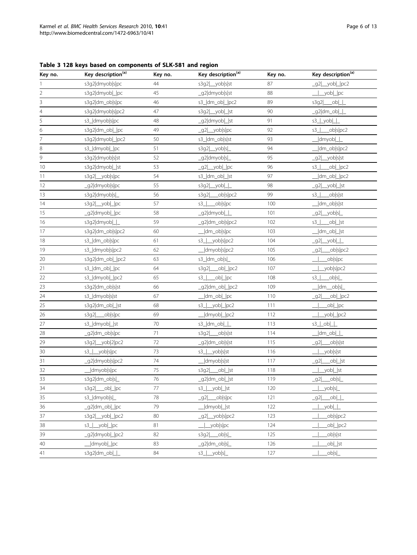<span id="page-5-0"></span>Table 3 128 keys based on components of SLK-581 and region

| Key no.        | Key description <sup>(a)</sup> | Key no. | Key description <sup>(a)</sup> | Key no. | Key description <sup>(a)</sup>             |
|----------------|--------------------------------|---------|--------------------------------|---------|--------------------------------------------|
| 1              | s3g2 dmyob s pc                | 44      | s3g2 _yob s st                 | 87      | _g2 _yob _ pc2                             |
| $\overline{c}$ | s3g2 dmyob _ pc                | 45      | _g2 dmyob s st                 | 88      | _yob _ pc                                  |
| $\overline{3}$ | s3g2 dm_ob s pc                | 46      | s3_ dm_ob _ pc2                | 89      | $-bL$<br>s3g2                              |
| $\overline{4}$ | s3g2 dmyob s pc2               | 47      | s3g2 _yob _ st                 | 90      | $g2 dm_b $                                 |
| $\overline{5}$ | s3_dmyob s pc                  | 48      | _g2 dmyob _ st                 | 91      | $s3$ _ _yob _ _                            |
| 6              | s3g2 dm_ob _ pc                | 49      | _g2 __yob s pc                 | 92      | _ob s pc2<br>s3                            |
| 7              | s3g2 dmyob _ pc2               | 50      | s3_dm_ob s st                  | 93      | $\Box$ dmyob $\Box$                        |
| 8              | s3_dmyobl_lpc                  | 51      | s3g2 _yob s _                  | 94      | dm_ob s pc2                                |
| 9              | s3g2 dmyob s st                | 52      | _g2 dmyob s _                  | 95      | _g2 _yob s st                              |
| 10             | s3g2 dmyob _ st                | 53      | _g2 __yob _ pc                 | 96      | _ob _ pc2<br>s3                            |
| 11             | s3g2 _yob s pc                 | 54      | s3_dm_ob _ st                  | 97      | _dm_ob _lpc2                               |
| 12             | _g2 dmyob s pc                 | 55      | $s3g2$ _yob $\lfloor$          | 98      | _g2 __yob _ st                             |
| 13             | s3g2 dmyob s _                 | 56      | _ob s pc2<br>s3q2              | 99      | _ob s st<br>s3                             |
| 14             | s3g2 _yob _ pc                 | 57      | _ob s pc<br>s3                 | 100     | _dm_ob s st                                |
| 15             | _g2 dmyob _ pc                 | 58      | _g2 dmyob _ _                  | 101     | $-g2$ _yob s _                             |
| 16             | s3g2 dmyob _ _                 | 59      | _g2 dm_ob s pc2                | 102     | _ob _ st<br>s3                             |
| 17             | s3g2 dm_ob s pc2               | 60      | _dm_ob s pc                    | 103     | _dm_ob _ st                                |
| 18             | s3_dm_ob s pc                  | 61      | s3_ __yob s pc2                | 104     | $g2$ yob  $\Box$                           |
| 19             | s3_dmyob s pc2                 | 62      | _dmyob s pc2                   | 105     | _g2 ___ob s pc2                            |
| $20\,$         | s3g2 dm_ob _ pc2               | 63      | s3_dm_ob s _                   | 106     | ob s pc                                    |
| 21             | s3_ dm_ob _ pc                 | 64      | $_{\text{obj}}$ pc2<br>s3q2    | 107     | _yob s pc2                                 |
| 22             | s3_ dmyob _ pc2                | 65      | _ob _ pc<br>s3                 | 108     | $_$ ob $ s _$<br>s3                        |
| 23             | s3g2 dm_ob s st                | 66      | _g2 dm_ob _ pc2                | 109     | dm__ob s _                                 |
| 24             | s3_dmyob s st                  | 67      | _dm_ob _ pc                    | 110     | $-g2$ ___ob _ pc2                          |
| 25             | s3g2 dm_ob _ st                | 68      | s3_ __yob _ pc2                | 111     | _ob _ pc                                   |
| 26             | _ob s pc<br>s3q2               | 69      | __dmyob _ pc2                  | 112     | _yob _ pc2                                 |
| 27             | s3_dmyob _ st                  | 70      | s3_dm_ob _ _                   | 113     | $s3$ _ $\lfloor$ _ob $\lfloor$ _ $\rfloor$ |
| 28             | _g2 dm_ob s pc                 | 71      | s3g2<br>_ob s st               | 114     | $\lfloor dm \_ob \rfloor$                  |
| 29             | s3g2 _yob 2 pc2                | 72      | _g2 dm_ob s st                 | 115     | _g2 ___ob s st                             |
| 30             | s3_ __yob s pc                 | 73      | s3_ __yob s st                 | 116     | _yob s st                                  |
| 31             | _g2 dmyob s pc2                | 74      | _dmyob s st                    | 117     | $_{ob $ st<br>$-92$                        |
| 32             | _dmyob s pc                    | 75      | s3g2 ___ob _ st                | 118     | _yob _ st                                  |
| 33             | s3g2 dm_ob s _                 | 76      | _g2 dm_ob _ st                 | 119     | $_$ ob $ s _$<br>$-g2$                     |
| 34             | s3g2 ___ob _ pc                | $77\,$  | s3_ _yob _ st                  | 120     | $y$ ob $ s _$                              |
| 35             | s3_dmyob s _                   | 78      | _g2 ___ob s pc                 | 121     | $-g2$ ob $\Box$                            |
| 36             | _g2 dm_ob _ pc                 | 79      | _dmyob _ st                    | 122     | $yob$  _ _                                 |
| 37             | s3g2 _yob _ pc2                | 80      | _g2 __yob s pc2                | 123     | _ob s pc2                                  |
| 38             | s3_ _yob _ pc                  | 81      | $\Box$ yob s pc                | 124     | _ob _ pc2                                  |
| 39             | _g2 dmyob _ pc2                | 82      | $s3g2$ ___ob s _               | 125     | _ob s st                                   |
| 40             | dmyob _ pc                     | 83      | _g2 dm_ob s _                  | 126     | _ob _ st                                   |
| 41             | s3g2 dm_ob _ _                 | 84      | s3_ _yob s _                   | 127     | $\lfloor$ ob $\lfloor$ s $\rfloor$         |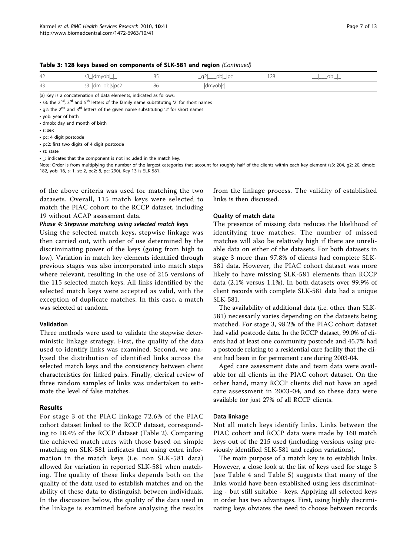|  |  |  |  | Table 3: 128 keys based on components of SLK-581 and region (Continued) |  |  |  |  |
|--|--|--|--|-------------------------------------------------------------------------|--|--|--|--|
|--|--|--|--|-------------------------------------------------------------------------|--|--|--|--|

| 42 | ldmvobl<br>--<br>-      | 85 | obl<br>. Ipc<br>-94 | 128 | obl |
|----|-------------------------|----|---------------------|-----|-----|
| 43 | 3_ dm_ob s pc2  <br>ر ر | 86 | ldmvobls            |     |     |

(a) Key is a concatenation of data elements, indicated as follows:

• s3: the  $2^{nd}$ ,  $3^{rd}$  and  $5^{th}$  letters of the family name substituting '2' for short names

 $\cdot$  g2: the 2<sup>nd</sup> and 3<sup>rd</sup> letters of the given name substituting '2' for short names

• yob: year of birth

• dmob: day and month of birth

• s: sex

• pc: 4 digit postcode

• pc2: first two digits of 4 digit postcode

• st: state

• \_: indicates that the component is not included in the match key.

Note: Order is from multiplying the number of the largest categories that account for roughly half of the clients within each key element (s3: 204, g2: 20, dmob: 182, yob: 16, s: 1, st: 2, pc2: 8, pc: 290). Key 13 is SLK-581.

of the above criteria was used for matching the two datasets. Overall, 115 match keys were selected to match the PIAC cohort to the RCCP dataset, including 19 without ACAP assessment data.

# Phase 4: Stepwise matching using selected match keys

Using the selected match keys, stepwise linkage was then carried out, with order of use determined by the discriminating power of the keys (going from high to low). Variation in match key elements identified through previous stages was also incorporated into match steps where relevant, resulting in the use of 215 versions of the 115 selected match keys. All links identified by the selected match keys were accepted as valid, with the exception of duplicate matches. In this case, a match was selected at random.

#### Validation

Three methods were used to validate the stepwise deterministic linkage strategy. First, the quality of the data used to identify links was examined. Second, we analysed the distribution of identified links across the selected match keys and the consistency between client characteristics for linked pairs. Finally, clerical review of three random samples of links was undertaken to estimate the level of false matches.

#### Results

For stage 3 of the PIAC linkage 72.6% of the PIAC cohort dataset linked to the RCCP dataset, corresponding to 18.4% of the RCCP dataset (Table [2](#page-4-0)). Comparing the achieved match rates with those based on simple matching on SLK-581 indicates that using extra information in the match keys (i.e. non SLK-581 data) allowed for variation in reported SLK-581 when matching. The quality of these links depends both on the quality of the data used to establish matches and on the ability of these data to distinguish between individuals. In the discussion below, the quality of the data used in the linkage is examined before analysing the results from the linkage process. The validity of established links is then discussed.

#### Quality of match data

The presence of missing data reduces the likelihood of identifying true matches. The number of missed matches will also be relatively high if there are unreliable data on either of the datasets. For both datasets in stage 3 more than 97.8% of clients had complete SLK-581 data. However, the PIAC cohort dataset was more likely to have missing SLK-581 elements than RCCP data (2.1% versus 1.1%). In both datasets over 99.9% of client records with complete SLK-581 data had a unique SLK-581.

The availability of additional data (i.e. other than SLK-581) necessarily varies depending on the datasets being matched. For stage 3, 98.2% of the PIAC cohort dataset had valid postcode data. In the RCCP dataset, 99.0% of clients had at least one community postcode and 45.7% had a postcode relating to a residential care facility that the client had been in for permanent care during 2003-04.

Aged care assessment date and team data were available for all clients in the PIAC cohort dataset. On the other hand, many RCCP clients did not have an aged care assessment in 2003-04, and so these data were available for just 27% of all RCCP clients.

#### Data linkage

Not all match keys identify links. Links between the PIAC cohort and RCCP data were made by 160 match keys out of the 215 used (including versions using previously identified SLK-581 and region variations).

The main purpose of a match key is to establish links. However, a close look at the list of keys used for stage 3 (see Table [4](#page-7-0) and Table [5\)](#page-9-0) suggests that many of the links would have been established using less discriminating - but still suitable - keys. Applying all selected keys in order has two advantages. First, using highly discriminating keys obviates the need to choose between records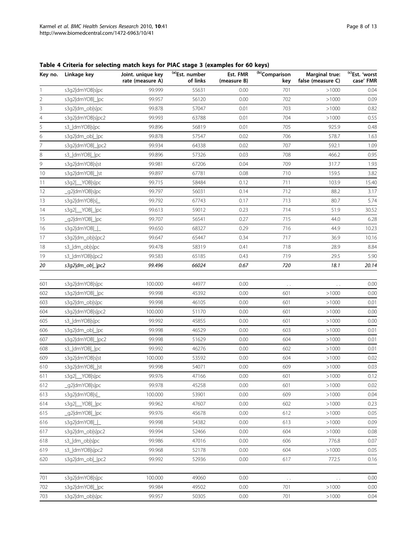<span id="page-7-0"></span>

| Table 4 Criteria for selecting match keys for PIAC stage 3 (examples for 60 keys) |  |  |  |  |  |
|-----------------------------------------------------------------------------------|--|--|--|--|--|
|-----------------------------------------------------------------------------------|--|--|--|--|--|

| Key no.        | Linkage key      | Joint. unique key<br>rate (measure A) | <sup>(a)</sup> Est. number<br>of links | Est. FMR<br>(measure B) | (b)Comparison<br>key   | <b>Marginal true:</b><br>false (measure C) | <sup>(c)</sup> Est. 'worst<br>case' FMR |
|----------------|------------------|---------------------------------------|----------------------------------------|-------------------------|------------------------|--------------------------------------------|-----------------------------------------|
| 1              | s3g2 dmYOB s pc  | 99.999                                | 55631                                  | 0.00                    | 701                    | >1000                                      | 0.04                                    |
| $\overline{c}$ | s3g2 dmYOB _ pc  | 99.957                                | 56120                                  | 0.00                    | 702                    | >1000                                      | 0.09                                    |
| 3              | s3g2 dm_ob s pc  | 99.878                                | 57047                                  | 0.01                    | 703                    | >1000                                      | 0.82                                    |
| 4              | s3g2 dmYOB s pc2 | 99.993                                | 63788                                  | 0.01                    | 704                    | >1000                                      | 0.55                                    |
| 5              | s3_ dmYOB s pc   | 99.896                                | 56819                                  | 0.01                    | 705                    | 925.9                                      | 0.48                                    |
| 6              | s3g2 dm_ob _ pc  | 99.878                                | 57547                                  | 0.02                    | 706                    | 578.7                                      | 1.63                                    |
| 7              | s3g2 dmYOB _ pc2 | 99.934                                | 64338                                  | 0.02                    | 707                    | 592.1                                      | 1.09                                    |
| 8              | s3_ dmYOB _ pc   | 99.896                                | 57326                                  | 0.03                    | 708                    | 466.2                                      | 0.95                                    |
| 9              | s3g2 dmYOB s st  | 99.981                                | 67206                                  | 0.04                    | 709                    | 317.7                                      | 1.93                                    |
| 10             | s3g2 dmYOB  st   | 99.897                                | 67781                                  | 0.08                    | 710                    | 159.5                                      | 3.82                                    |
| 11             | s3g2  YOB s pc   | 99.715                                | 58484                                  | 0.12                    | 711                    | 103.9                                      | 15.40                                   |
| 12             | _g2 dmYOB s pc   | 99.797                                | 56031                                  | 0.14                    | 712                    | 88.2                                       | 3.17                                    |
| 13             | s3g2 dmYOB s _   | 99.792                                | 67743                                  | 0.17                    | 713                    | 80.7                                       | 5.74                                    |
| 14             | s3g2  YOB  pc    | 99.613                                | 59012                                  | 0.23                    | 714                    | 51.9                                       | 30.52                                   |
| 15             | _g2 dmYOB _ pc   | 99.707                                | 56541                                  | 0.27                    | 715                    | 44.0                                       | 6.28                                    |
| 16             | s3g2 dmYOB _ _   | 99.650                                | 68327                                  | 0.29                    | 716                    | 44.9                                       | 10.23                                   |
| $17\,$         | s3g2 dm_ob s pc2 | 99.647                                | 65447                                  | 0.34                    | 717                    | 36.9                                       | 10.16                                   |
| 18             | s3_dm_ob s pc    | 99.478                                | 58319                                  | 0.41                    | 718                    | 28.9                                       | 8.84                                    |
| 19             | s3_dmYOB s pc2   | 99.583                                | 65185                                  | 0.43                    | 719                    | 29.5                                       | 5.90                                    |
| 20             | s3g2 dm_ob _ pc2 | 99.496                                | 66024                                  | 0.67                    | 720                    | 18.1                                       | 20.14                                   |
|                |                  |                                       |                                        |                         |                        |                                            |                                         |
| 601            | s3g2 dmYOB s pc  | 100.000                               | 44977                                  | 0.00                    | $\ddot{\phantom{1}}$ . | $\ddot{\phantom{0}}$                       | 0.00                                    |
| 602            | s3g2 dmYOB _ pc  | 99.998                                | 45392                                  | 0.00                    | 601                    | >1000                                      | 0.00                                    |
| 603            | s3g2 dm_ob s pc  | 99.998                                | 46105                                  | 0.00                    | 601                    | >1000                                      | 0.01                                    |
| 604            | s3g2 dmYOB s pc2 | 100.000                               | 51170                                  | 0.00                    | 601                    | >1000                                      | 0.00                                    |
| 605            | s3_dmYOB s pc    | 99.992                                | 45855                                  | 0.00                    | 601                    | >1000                                      | 0.00                                    |
| 606            | s3g2 dm_ob _ pc  | 99.998                                | 46529                                  | 0.00                    | 603                    | >1000                                      | 0.01                                    |
| 607            | s3g2 dmYOB _ pc2 | 99.998                                | 51629                                  | 0.00                    | 604                    | >1000                                      | 0.01                                    |
| 608            | s3_ dmYOB _ pc   | 99.992                                | 46276                                  | 0.00                    | 602                    | >1000                                      | 0.01                                    |
| 609            | s3q2 dmYOB s st  | 100.000                               | 53592                                  | 0.00                    | 604                    | >1000                                      | 0.02                                    |
| 610            | s3g2 dmYOB _ st  | 99.998                                | 54071                                  | 0.00                    | 609                    | >1000                                      | 0.03                                    |
| 611            | s3g2  YOB s pc   | 99.976                                | 47166                                  | 0.00                    | 601                    | >1000                                      | 0.12                                    |
| 612            | _g2 dmYOB s pc   | 99.978                                | 45258                                  | 0.00                    | 601                    | >1000                                      | 0.02                                    |
| 613            | s3g2 dmYOB s _   | 100.000                               | 53901                                  | 0.00                    | 609                    | >1000                                      | 0.04                                    |
| 614            | s3g2  YOB  pc    | 99.962                                | 47607                                  | 0.00                    | 602                    | >1000                                      | 0.23                                    |
| 615            | _g2 dmYOB _ pc   | 99.976                                | 45678                                  | 0.00                    | 612                    | >1000                                      | 0.05                                    |
| 616            | s3g2 dmYOB _ _   | 99.998                                | 54382                                  | 0.00                    | 613                    | >1000                                      | 0.09                                    |
| 617            | s3g2 dm_ob s pc2 | 99.994                                | 52466                                  | 0.00                    | 604                    | >1000                                      | 0.08                                    |
| 618            | s3_dm_ob s pc    | 99.986                                | 47016                                  | 0.00                    | 606                    | 776.8                                      | 0.07                                    |
| 619            | s3_dmYOB s pc2   | 99.968                                | 52178                                  | 0.00                    | 604                    | >1000                                      | 0.05                                    |
| 620            | s3g2 dm_ob _ pc2 | 99.992                                | 52936                                  | 0.00                    | 617                    | 772.5                                      | 0.16                                    |
| 701            | s3g2 dmYOB s pc  | 100.000                               | 49060                                  | 0.00                    | $\ddot{\phantom{0}}$   |                                            | 0.00                                    |
| 702            | s3g2 dmYOB _ pc  | 99.984                                | 49502                                  | 0.00                    | 701                    | >1000                                      | 0.00                                    |
| 703            | s3g2 dm_ob s pc  | 99.957                                | 50305                                  | 0.00                    | 701                    | >1000                                      | 0.04                                    |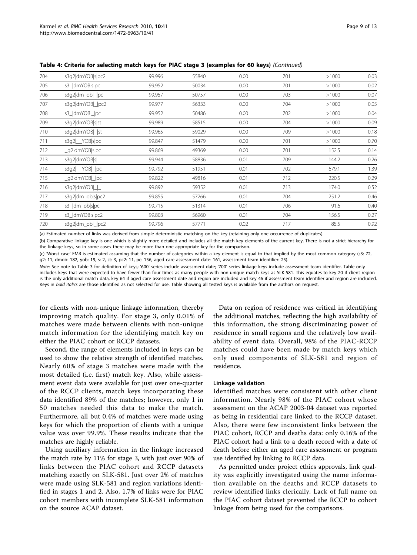|     |                  |        |       | 0.00              | 701 | >1000 | 0.03 |
|-----|------------------|--------|-------|-------------------|-----|-------|------|
| 705 | s3_dmYOB s pc    | 99.952 | 50034 | 0.00              | 701 | >1000 | 0.02 |
| 706 | s3q2 dm_ob _ pc  | 99.957 | 50757 | 0.00 <sub>1</sub> | 703 | >1000 | 0.07 |
| 707 | s3g2 dmYOB _ pc2 | 99.977 | 56333 | 0.00 <sub>1</sub> | 704 | >1000 | 0.05 |
| 708 | s3_dmYOB _ pc    | 99.952 | 50486 | 0.00              | 702 | >1000 | 0.04 |
| 709 | s3q2 dmYOB s st  | 99.989 | 58515 | 0.00              | 704 | >1000 | 0.09 |
| 710 | s3q2 dmYOB _ st  | 99.965 | 59029 | 0.00              | 709 | >1000 | 0.18 |
| 711 | s3g2  YOB s pc   | 99.847 | 51479 | 0.00 <sub>1</sub> | 701 | >1000 | 0.70 |
| 712 | _g2 dmYOB s pc   | 99.869 | 49369 | 0.00              | 701 | 152.5 | 0.14 |
| 713 | s3g2 dmYOB s _   | 99.944 | 58836 | 0.01              | 709 | 144.2 | 0.26 |
| 714 | s3g2  YOB   pc   | 99.792 | 51951 | 0.01              | 702 | 679.1 | 1.39 |
| 715 | _g2 dmYOB _ pc   | 99.822 | 49816 | 0.01              | 712 | 220.5 | 0.29 |
| 716 | s3g2 dmYOB _ _   | 99.892 | 59352 | 0.01              | 713 | 174.0 | 0.52 |
| 717 | s3q2 dm_ob s pc2 | 99.855 | 57266 | 0.01              | 704 | 251.2 | 0.46 |
| 718 | s3_ldm_oblslpc   | 99.715 | 51314 | 0.01              | 706 | 91.6  | 0.40 |
| 719 | s3_dmYOB s pc2   | 99.803 | 56960 | 0.01              | 704 | 156.5 | 0.27 |
| 720 | s3q2 dm_ob _ pc2 | 99.796 | 57771 | 0.02              | 717 | 85.5  | 0.92 |

Table 4: Criteria for selecting match keys for PIAC stage 3 (examples for 60 keys) (Continued)

(a) Estimated number of links was derived from simple deterministic matching on the key (retaining only one occurrence of duplicates).

(b) Comparative linkage key is one which is slightly more detailed and includes all the match key elements of the current key. There is not a strict hierarchy for the linkage keys, so in some cases there may be more than one appropriate key for the comparison.

(c) 'Worst case' FMR is estimated assuming that the number of categories within a key element is equal to that implied by the most common category (s3: 72, g2: 11, dmob: 182, yob: 19, s: 2, st: 3, pc2: 11, pc: 156, aged care assessment date: 161, assessment team identifier: 25).

Note: See note to Table 3 for definition of keys; '600' series include assessment date; '700' series linkage keys include assessment team identifier. Table only includes keys that were expected to have fewer than four times as many people with non-unique match keys as SLK-581. This equates to key 20 if client region is the only additional match data, key 64 if aged care assessment date and region are included and key 46 if assessment team identifier and region are included. Keys in bold italics are those identified as not selected for use. Table showing all tested keys is available from the authors on request.

for clients with non-unique linkage information, thereby improving match quality. For stage 3, only 0.01% of matches were made between clients with non-unique match information for the identifying match key on either the PIAC cohort or RCCP datasets.

Second, the range of elements included in keys can be used to show the relative strength of identified matches. Nearly 60% of stage 3 matches were made with the most detailed (i.e. first) match key. Also, while assessment event data were available for just over one-quarter of the RCCP clients, match keys incorporating these data identified 89% of the matches; however, only 1 in 50 matches needed this data to make the match. Furthermore, all but 0.4% of matches were made using keys for which the proportion of clients with a unique value was over 99.9%. These results indicate that the matches are highly reliable.

Using auxiliary information in the linkage increased the match rate by 11% for stage 3, with just over 90% of links between the PIAC cohort and RCCP datasets matching exactly on SLK-581. Just over 2% of matches were made using SLK-581 and region variations identified in stages 1 and 2. Also, 1.7% of links were for PIAC cohort members with incomplete SLK-581 information on the source ACAP dataset.

Data on region of residence was critical in identifying the additional matches, reflecting the high availability of this information, the strong discriminating power of residence in small regions and the relatively low availability of event data. Overall, 98% of the PIAC-RCCP matches could have been made by match keys which only used components of SLK-581 and region of residence.

#### Linkage validation

Identified matches were consistent with other client information. Nearly 98% of the PIAC cohort whose assessment on the ACAP 2003-04 dataset was reported as being in residential care linked to the RCCP dataset. Also, there were few inconsistent links between the PIAC cohort, RCCP and deaths data: only 0.16% of the PIAC cohort had a link to a death record with a date of death before either an aged care assessment or program use identified by linking to RCCP data.

As permitted under project ethics approvals, link quality was explicitly investigated using the name information available on the deaths and RCCP datasets to review identified links clerically. Lack of full name on the PIAC cohort dataset prevented the RCCP to cohort linkage from being used for the comparisons.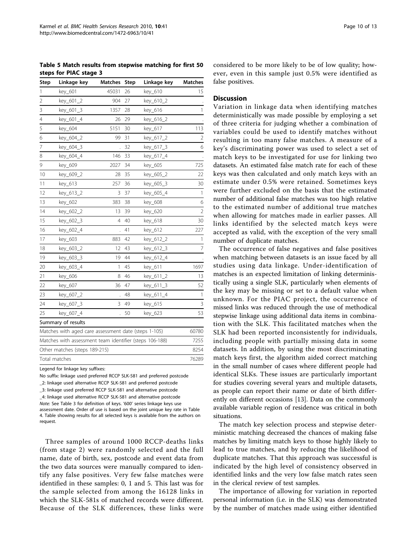<span id="page-9-0"></span>Table 5 Match results from stepwise matching for first 50 steps for PIAC stage 3

| <b>Step</b>                                             | Linkage key                   | <b>Matches</b>       | <b>Step</b> | Linkage key | <b>Matches</b> |
|---------------------------------------------------------|-------------------------------|----------------------|-------------|-------------|----------------|
| 1                                                       | key_601                       | 45031                | 26          | key_610     | 15             |
| $\overline{2}$                                          | key_601_2                     | 904                  | 27          | key_610_2   |                |
| 3                                                       | key_601_3                     | 1357                 | 28          | key_616     | 1              |
| $\overline{4}$                                          | key_601_4                     | 26                   | 29          | key_616_2   |                |
| 5                                                       | key_604                       | 5151                 | 30          | key_617     | 113            |
| 6                                                       | key_604_2                     | 99                   | 31          | key_617_2   | $\overline{2}$ |
| $\overline{7}$                                          | key_604_3                     |                      | 32          | key_617_3   | 6              |
| 8                                                       | key_604_4                     | 146                  | 33          | key_617_4   |                |
| 9                                                       | key_609                       | 2027                 | 34          | key_605     | 725            |
| 10                                                      | key_609_2                     | 28                   | 35          | key_605_2   | 22             |
| 11                                                      | key_613                       | 257                  | 36          | key_605_3   | 30             |
| 12                                                      | key_613_2                     | 3                    | 37          | key_605_4   | $\mathbf{1}$   |
| 13                                                      | key_602                       | 383                  | 38          | key_608     | 6              |
| 14                                                      | key_602_2                     | 13                   | 39          | key_620     | $\overline{2}$ |
| 15                                                      | key_602_3                     | 4                    | 40          | key_618     | 30             |
| 16                                                      | key_602_4                     | $\ddot{\phantom{a}}$ | 41          | key_612     | 227            |
| 17                                                      | key_603                       | 883                  | 42          | key_612_2   | 1              |
| 18                                                      | key_603_2                     | 12                   | 43          | key_612_3   | $\overline{7}$ |
| 19                                                      | key_603_3                     | 19                   | 44          | key_612_4   |                |
| 20                                                      | key_603_4                     | $\overline{1}$       | 45          | key_611     | 1697           |
| 21                                                      | key_606                       | 8                    | 46          | key_611_2   | 13             |
| 22                                                      | key_607                       | 36                   | 47          | key_611_3   | 52             |
| 23                                                      | key_607_2                     |                      | 48          | key_611_4   | 1              |
| 24                                                      | key_607_3                     | 3                    | 49          | key_615     | 3              |
| 25                                                      | key_607_4                     |                      | 50          | key_623     | 53             |
|                                                         | Summary of results            |                      |             |             |                |
| Matches with aged care assessment date (steps 1-105)    | 60780                         |                      |             |             |                |
| Matches with assessment team identifier (steps 106-188) | 7255                          |                      |             |             |                |
|                                                         | Other matches (steps 189-215) |                      |             |             | 8254           |
|                                                         | Total matches                 |                      |             |             | 76289          |
|                                                         |                               |                      |             |             |                |

Legend for linkage key suffixes:

No suffix: linkage used preferred RCCP SLK-581 and preferred postcode

\_2: linkage used alternative RCCP SLK-581 and preferred postcode

\_3: linkage used preferred RCCP SLK-581 and alternative postcode

\_4: linkage used alternative RCCP SLK-581 and alternative postcode

Note: See Table 3 for definition of keys. '600' series linkage keys use

assessment date. Order of use is based on the joint unique key rate in Table 4. Table showing results for all selected keys is available from the authors on request

Three samples of around 1000 RCCP-deaths links (from stage 2) were randomly selected and the full name, date of birth, sex, postcode and event data from the two data sources were manually compared to identify any false positives. Very few false matches were identified in these samples: 0, 1 and 5. This last was for the sample selected from among the 16128 links in which the SLK-581s of matched records were different. Because of the SLK differences, these links were

considered to be more likely to be of low quality; however, even in this sample just 0.5% were identified as false positives.

#### **Discussion**

Variation in linkage data when identifying matches deterministically was made possible by employing a set of three criteria for judging whether a combination of variables could be used to identify matches without resulting in too many false matches. A measure of a key's discriminating power was used to select a set of match keys to be investigated for use for linking two datasets. An estimated false match rate for each of these keys was then calculated and only match keys with an estimate under 0.5% were retained. Sometimes keys were further excluded on the basis that the estimated number of additional false matches was too high relative to the estimated number of additional true matches when allowing for matches made in earlier passes. All links identified by the selected match keys were accepted as valid, with the exception of the very small number of duplicate matches.

The occurrence of false negatives and false positives when matching between datasets is an issue faced by all studies using data linkage. Under-identification of matches is an expected limitation of linking deterministically using a single SLK, particularly when elements of the key may be missing or set to a default value when unknown. For the PIAC project, the occurrence of missed links was reduced through the use of methodical stepwise linkage using additional data items in combination with the SLK. This facilitated matches when the SLK had been reported inconsistently for individuals, including people with partially missing data in some datasets. In addition, by using the most discriminating match keys first, the algorithm aided correct matching in the small number of cases where different people had identical SLKs. These issues are particularly important for studies covering several years and multiple datasets, as people can report their name or date of birth differently on different occasions [[13](#page-12-0)]. Data on the commonly available variable region of residence was critical in both situations.

The match key selection process and stepwise deterministic matching decreased the chances of making false matches by limiting match keys to those highly likely to lead to true matches, and by reducing the likelihood of duplicate matches. That this approach was successful is indicated by the high level of consistency observed in identified links and the very low false match rates seen in the clerical review of test samples.

The importance of allowing for variation in reported personal information (i.e. in the SLK) was demonstrated by the number of matches made using either identified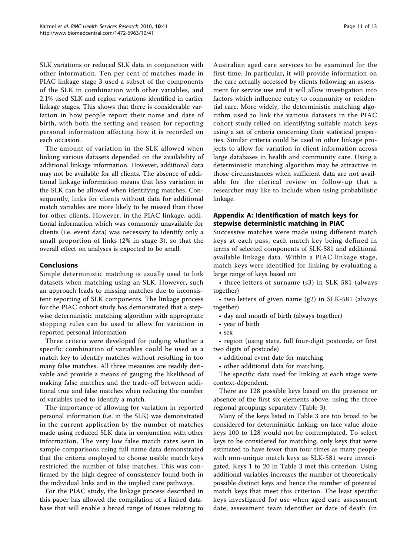SLK variations or reduced SLK data in conjunction with other information. Ten per cent of matches made in PIAC linkage stage 3 used a subset of the components of the SLK in combination with other variables, and 2.1% used SLK and region variations identified in earlier linkage stages. This shows that there is considerable variation in how people report their name and date of birth, with both the setting and reason for reporting personal information affecting how it is recorded on each occasion.

The amount of variation in the SLK allowed when linking various datasets depended on the availability of additional linkage information. However, additional data may not be available for all clients. The absence of additional linkage information means that less variation in the SLK can be allowed when identifying matches. Consequently, links for clients without data for additional match variables are more likely to be missed than those for other clients. However, in the PIAC linkage, additional information which was commonly unavailable for clients (i.e. event data) was necessary to identify only a small proportion of links (2% in stage 3), so that the overall effect on analyses is expected to be small.

# Conclusions

Simple deterministic matching is usually used to link datasets when matching using an SLK. However, such an approach leads to missing matches due to inconsistent reporting of SLK components. The linkage process for the PIAC cohort study has demonstrated that a stepwise deterministic matching algorithm with appropriate stopping rules can be used to allow for variation in reported personal information.

Three criteria were developed for judging whether a specific combination of variables could be used as a match key to identify matches without resulting in too many false matches. All three measures are readily derivable and provide a means of gauging the likelihood of making false matches and the trade-off between additional true and false matches when reducing the number of variables used to identify a match.

The importance of allowing for variation in reported personal information (i.e. in the SLK) was demonstrated in the current application by the number of matches made using reduced SLK data in conjunction with other information. The very low false match rates seen in sample comparisons using full name data demonstrated that the criteria employed to choose usable match keys restricted the number of false matches. This was confirmed by the high degree of consistency found both in the individual links and in the implied care pathways.

For the PIAC study, the linkage process described in this paper has allowed the compilation of a linked database that will enable a broad range of issues relating to Australian aged care services to be examined for the first time. In particular, it will provide information on the care actually accessed by clients following an assessment for service use and it will allow investigation into factors which influence entry to community or residential care. More widely, the deterministic matching algorithm used to link the various datasets in the PIAC cohort study relied on identifying suitable match keys using a set of criteria concerning their statistical properties. Similar criteria could be used in other linkage projects to allow for variation in client information across large databases in health and community care. Using a deterministic matching algorithm may be attractive in those circumstances when sufficient data are not available for the clerical review or follow-up that a researcher may like to include when using probabilistic linkage.

# Appendix A: Identification of match keys for stepwise deterministic matching in PIAC

Successive matches were made using different match keys at each pass, each match key being defined in terms of selected components of SLK-581 and additional available linkage data. Within a PIAC linkage stage, match keys were identified for linking by evaluating a large range of keys based on:

• three letters of surname (s3) in SLK-581 (always together)

• two letters of given name (g2) in SLK-581 (always together)

- day and month of birth (always together)
- year of birth
- sex

• region (using state, full four-digit postcode, or first two digits of postcode)

- additional event date for matching
- other additional data for matching.

The specific data used for linking at each stage were context-dependent.

There are 128 possible keys based on the presence or absence of the first six elements above, using the three regional groupings separately (Table [3\)](#page-5-0).

Many of the keys listed in Table [3](#page-5-0) are too broad to be considered for deterministic linking: on face value alone keys 100 to 128 would not be contemplated. To select keys to be considered for matching, only keys that were estimated to have fewer than four times as many people with non-unique match keys as SLK-581 were investigated. Keys 1 to 20 in Table [3](#page-5-0) met this criterion. Using additional variables increases the number of theoretically possible distinct keys and hence the number of potential match keys that meet this criterion. The least specific keys investigated for use when aged care assessment date, assessment team identifier or date of death (in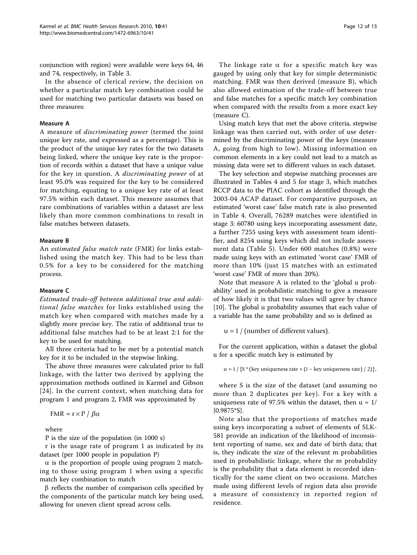conjunction with region) were available were keys 64, 46 and 74, respectively, in Table [3.](#page-5-0)

In the absence of clerical review, the decision on whether a particular match key combination could be used for matching two particular datasets was based on three measures:

### Measure A

A measure of discriminating power (termed the joint unique key rate, and expressed as a percentage). This is the product of the unique key rates for the two datasets being linked, where the unique key rate is the proportion of records within a dataset that have a unique value for the key in question. A discriminating power of at least 95.0% was required for the key to be considered for matching, equating to a unique key rate of at least 97.5% within each dataset. This measure assumes that rare combinations of variables within a dataset are less likely than more common combinations to result in false matches between datasets.

#### Measure B

An estimated false match rate (FMR) for links established using the match key. This had to be less than 0.5% for a key to be considered for the matching process.

#### Measure C

Estimated trade-off between additional true and additional false matches for links established using the match key when compared with matches made by a slightly more precise key. The ratio of additional true to additional false matches had to be at least 2:1 for the key to be used for matching.

All three criteria had to be met by a potential match key for it to be included in the stepwise linking.

The above three measures were calculated prior to full linkage, with the latter two derived by applying the approximation methods outlined in Karmel and Gibson [[24\]](#page-12-0). In the current context, when matching data for program 1 and program 2, FMR was approximated by

```
FMR = r \times P / \beta \alpha
```
where

P is the size of the population (in 1000 s)

r is the usage rate of program 1 as indicated by its dataset (per 1000 people in population P)

 $\alpha$  is the proportion of people using program 2 matching to those using program 1 when using a specific match key combination to match

 $\beta$  reflects the number of comparison cells specified by the components of the particular match key being used, allowing for uneven client spread across cells.

The linkage rate  $\alpha$  for a specific match key was gauged by using only that key for simple deterministic matching. FMR was then derived (measure B), which also allowed estimation of the trade-off between true and false matches for a specific match key combination when compared with the results from a more exact key (measure C).

Using match keys that met the above criteria, stepwise linkage was then carried out, with order of use determined by the discriminating power of the keys (measure A, going from high to low). Missing information on common elements in a key could not lead to a match as missing data were set to different values in each dataset.

The key selection and stepwise matching processes are illustrated in Tables [4](#page-7-0) and [5](#page-9-0) for stage 3, which matches RCCP data to the PIAC cohort as identified through the 2003-04 ACAP dataset. For comparative purposes, an estimated 'worst case' false match rate is also presented in Table [4.](#page-7-0) Overall, 76289 matches were identified in stage 3: 60780 using keys incorporating assessment date, a further 7255 using keys with assessment team identifier, and 8254 using keys which did not include assessment data (Table [5](#page-9-0)). Under 600 matches (0.8%) were made using keys with an estimated 'worst case' FMR of more than 10% (just 15 matches with an estimated 'worst case' FMR of more than 20%).

Note that measure A is related to the 'global u probability' used in probabilistic matching to give a measure of how likely it is that two values will agree by chance [[10\]](#page-12-0). The global u probability assumes that each value of a variable has the same probability and so is defined as

 $u = 1 / (number of different values).$ 

For the current application, within a dataset the global u for a specific match key is estimated by

 $u \approx 1 / {S * (key uniqueness rate + (1 - key uniqueness rate) / 2)},$ 

where S is the size of the dataset (and assuming no more than 2 duplicates per key). For a key with a uniqueness rate of 97.5% within the dataset, then  $u \approx 1/$ {0.9875\*S}.

Note also that the proportions of matches made using keys incorporating a subset of elements of SLK-581 provide an indication of the likelihood of inconsistent reporting of name, sex and date of birth data; that is, they indicate the size of the relevant m probabilities used in probabilistic linkage, where the m probability is the probability that a data element is recorded identically for the same client on two occasions. Matches made using different levels of region data also provide a measure of consistency in reported region of residence.